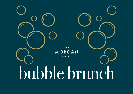THE **MORGAN** HOTEL bubble brunch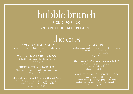# bubble brunch

### $-$  PICK 3 FOR  $\leq$  30  $-$

Choose one "eat", one "bubble" and one "sweet"

### the eats

### BUTTERMILK CHICKEN WAFFLE

Crispy smoked bacon, fried egg, sweet & spicy hot sauce

### TEMPURA PRAWN & NDUJA TACOS

Red cabbage & mango slaw, Pico de Gallo

### FLUFFY BUTTERMILK PANCAKES

Mascarpone lemon mousse, berries, maple syrup

### CROQUE MONSIEUR & CROQUE MADAME

Baked Limerick ham, gruyere cheese & monarch cheese sauce, served on an English muffin

#### SHAKSHUKA

Mediterranean vegetables cooked in spicy tomato sauce, steamed eggs, feta cheese, avocado, with a crispy rustic baquette

### QUINOA & SMASHED AVOCADO PATTY

Heirloom tomato, smashed avocado, served on a brioche bun

### SMASHED TURKEY & FRITTATA BURGER

Roasted pepper frittata, heirloom tomato, smoked bacon, garlic mayo, jalapeno chutney,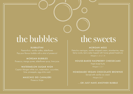## the bubbles the sweets

### **BUBBLETINI**

Passionfruit, vanilla vodka, elderflower Pop your flavour bubble with a shot of prosecco!

### MORGAN BUBBLES

Prosecco, mango puree, elderflower syrup, lime juice

### WATERMELON SUGAR HIGH

Captain Morgan white rum, watermelon, cucumber, lime, pineapple, egg-white wash

### MASCHIO DEI CAVALIERI

Prosecco Snipe

### MORGAN MESS

Pistachio meringue, vanilla whipped cream, strawberries, raspberry coulis, berry salsa topped with honey glazed hazelnuts

### HOUSE-BAKED RASPBERRY CHEESECAKE

Fresh forest fruits

### HOMEMADE VEGAN CHOCOLATE BROWNIE

Served with vanilla ice cream

### ...OR JUST HAVE ANOTHER BUBBLE